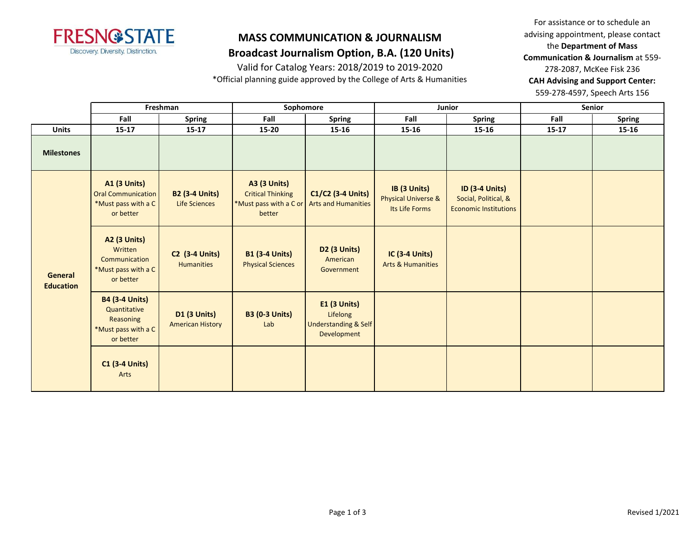

### **Broadcast Journalism Option, B.A. (120 Units)**

Valid for Catalog Years: 2018/2019 to 2019-2020

\*Official planning guide approved by the College of Arts & Humanities

For assistance or to schedule an advising appointment, please contact the **Department of Mass Communication & Journalism** at 559- 278-2087, McKee Fisk 236 **CAH Advising and Support Center:**  559-278-4597, Speech Arts 156

|                             | Freshman                                                                               |                                                | Sophomore                                                                           |                                                                                   | Junior                                                           |                                                                               | Senior    |               |
|-----------------------------|----------------------------------------------------------------------------------------|------------------------------------------------|-------------------------------------------------------------------------------------|-----------------------------------------------------------------------------------|------------------------------------------------------------------|-------------------------------------------------------------------------------|-----------|---------------|
|                             | Fall                                                                                   | <b>Spring</b>                                  | Fall                                                                                | <b>Spring</b>                                                                     | Fall                                                             | <b>Spring</b>                                                                 | Fall      | <b>Spring</b> |
| <b>Units</b>                | $15 - 17$                                                                              | $15 - 17$                                      | $15 - 20$                                                                           | 15-16                                                                             | $15 - 16$                                                        | 15-16                                                                         | $15 - 17$ | 15-16         |
| <b>Milestones</b>           |                                                                                        |                                                |                                                                                     |                                                                                   |                                                                  |                                                                               |           |               |
| General<br><b>Education</b> | <b>A1 (3 Units)</b><br><b>Oral Communication</b><br>*Must pass with a C<br>or better   | <b>B2 (3-4 Units)</b><br>Life Sciences         | <b>A3 (3 Units)</b><br><b>Critical Thinking</b><br>*Must pass with a C or<br>better | C1/C2 (3-4 Units)<br><b>Arts and Humanities</b>                                   | IB (3 Units)<br><b>Physical Universe &amp;</b><br>Its Life Forms | <b>ID (3-4 Units)</b><br>Social, Political, &<br><b>Economic Institutions</b> |           |               |
|                             | <b>A2 (3 Units)</b><br>Written<br>Communication<br>*Must pass with a C<br>or better    | <b>C2</b> (3-4 Units)<br><b>Humanities</b>     | <b>B1 (3-4 Units)</b><br><b>Physical Sciences</b>                                   | D <sub>2</sub> (3 Units)<br>American<br>Government                                | <b>IC (3-4 Units)</b><br><b>Arts &amp; Humanities</b>            |                                                                               |           |               |
|                             | <b>B4 (3-4 Units)</b><br>Quantitative<br>Reasoning<br>*Must pass with a C<br>or better | <b>D1 (3 Units)</b><br><b>American History</b> | <b>B3 (0-3 Units)</b><br>Lab                                                        | <b>E1 (3 Units)</b><br>Lifelong<br><b>Understanding &amp; Self</b><br>Development |                                                                  |                                                                               |           |               |
|                             | <b>C1 (3-4 Units)</b><br>Arts                                                          |                                                |                                                                                     |                                                                                   |                                                                  |                                                                               |           |               |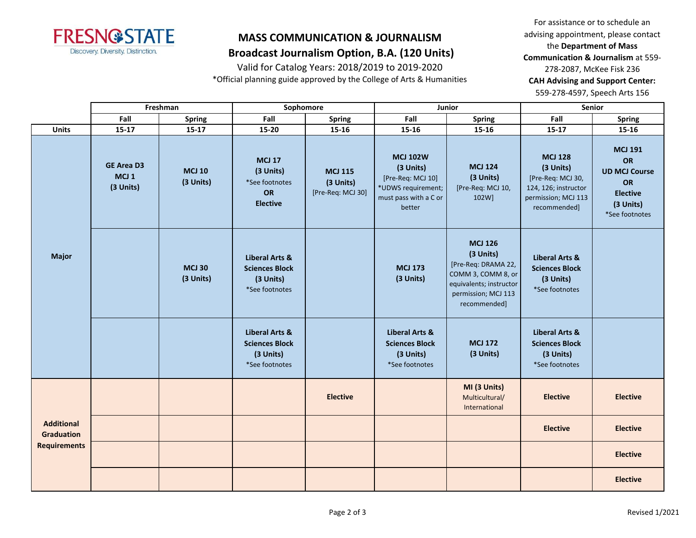

## **Broadcast Journalism Option, B.A. (120 Units)**

Valid for Catalog Years: 2018/2019 to 2019-2020

\*Official planning guide approved by the College of Arts & Humanities

For assistance or to schedule an advising appointment, please contact the **Department of Mass Communication & Journalism** at 559- 278-2087, McKee Fisk 236 **CAH Advising and Support Center:**  559-278-4597, Speech Arts 156

|                                        | Freshman                                           |                            | Sophomore                                                                         |                                                  | Junior                                                                                                     |                                                                                                                                            | Senior                                                                                                          |                                                                                                             |
|----------------------------------------|----------------------------------------------------|----------------------------|-----------------------------------------------------------------------------------|--------------------------------------------------|------------------------------------------------------------------------------------------------------------|--------------------------------------------------------------------------------------------------------------------------------------------|-----------------------------------------------------------------------------------------------------------------|-------------------------------------------------------------------------------------------------------------|
|                                        | Fall                                               | Spring                     | Fall                                                                              | <b>Spring</b>                                    | Fall                                                                                                       | <b>Spring</b>                                                                                                                              | Fall                                                                                                            | <b>Spring</b>                                                                                               |
| <b>Units</b>                           | $15 - 17$                                          | $15 - 17$                  | 15-20                                                                             | $15 - 16$                                        | 15-16                                                                                                      | 15-16                                                                                                                                      | $15 - 17$                                                                                                       | 15-16                                                                                                       |
| <b>Major</b>                           | <b>GE Area D3</b><br>MCJ <sub>1</sub><br>(3 Units) | <b>MCJ 10</b><br>(3 Units) | <b>MCJ 17</b><br>(3 Units)<br>*See footnotes<br><b>OR</b><br><b>Elective</b>      | <b>MCJ 115</b><br>(3 Units)<br>[Pre-Req: MCJ 30] | <b>MCJ 102W</b><br>(3 Units)<br>[Pre-Req: MCJ 10]<br>*UDWS requirement;<br>must pass with a C or<br>better | <b>MCJ 124</b><br>(3 Units)<br>[Pre-Req: MCJ 10,<br>102W]                                                                                  | <b>MCJ 128</b><br>(3 Units)<br>[Pre-Req: MCJ 30,<br>124, 126; instructor<br>permission; MCJ 113<br>recommended] | <b>MCJ 191</b><br><b>OR</b><br><b>UD MCJ Course</b><br>OR<br><b>Elective</b><br>(3 Units)<br>*See footnotes |
|                                        |                                                    | <b>MCJ 30</b><br>(3 Units) | <b>Liberal Arts &amp;</b><br><b>Sciences Block</b><br>(3 Units)<br>*See footnotes |                                                  | <b>MCJ 173</b><br>(3 Units)                                                                                | <b>MCJ 126</b><br>(3 Units)<br>[Pre-Req: DRAMA 22,<br>COMM 3, COMM 8, or<br>equivalents; instructor<br>permission; MCJ 113<br>recommended] | <b>Liberal Arts &amp;</b><br><b>Sciences Block</b><br>(3 Units)<br>*See footnotes                               |                                                                                                             |
|                                        |                                                    |                            | Liberal Arts &<br><b>Sciences Block</b><br>(3 Units)<br>*See footnotes            |                                                  | <b>Liberal Arts &amp;</b><br><b>Sciences Block</b><br>(3 Units)<br>*See footnotes                          | <b>MCJ 172</b><br>(3 Units)                                                                                                                | <b>Liberal Arts &amp;</b><br><b>Sciences Block</b><br>(3 Units)<br>*See footnotes                               |                                                                                                             |
| <b>Additional</b><br><b>Graduation</b> |                                                    |                            |                                                                                   | <b>Elective</b>                                  |                                                                                                            | MI (3 Units)<br>Multicultural/<br>International                                                                                            | <b>Elective</b>                                                                                                 | <b>Elective</b>                                                                                             |
|                                        |                                                    |                            |                                                                                   |                                                  |                                                                                                            |                                                                                                                                            | <b>Elective</b>                                                                                                 | <b>Elective</b>                                                                                             |
| <b>Requirements</b>                    |                                                    |                            |                                                                                   |                                                  |                                                                                                            |                                                                                                                                            |                                                                                                                 | <b>Elective</b>                                                                                             |
|                                        |                                                    |                            |                                                                                   |                                                  |                                                                                                            |                                                                                                                                            |                                                                                                                 | <b>Elective</b>                                                                                             |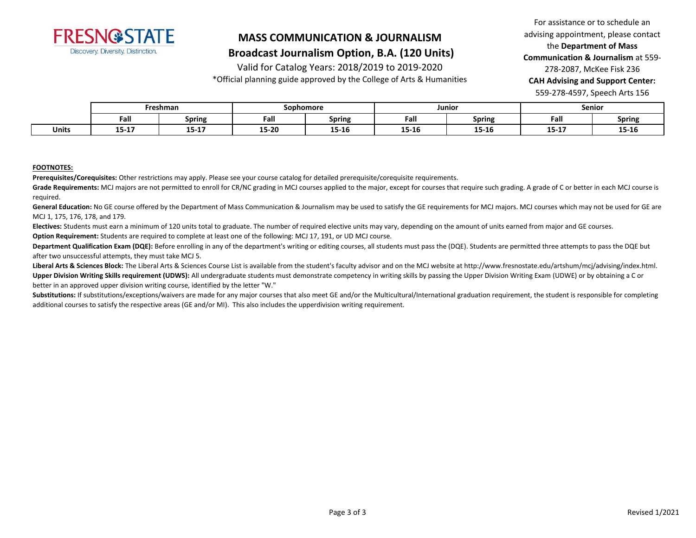

### **Broadcast Journalism Option, B.A. (120 Units)**

Valid for Catalog Years: 2018/2019 to 2019-2020

\*Official planning guide approved by the College of Arts & Humanities

For assistance or to schedule an advising appointment, please contact the **Department of Mass Communication & Journalism** at 559- 278-2087, McKee Fisk 236 **CAH Advising and Support Center:**  559-278-4597, Speech Arts 156

|              | Freshman  |             | Sophomore             |               | Junior |                | Senior         |               |
|--------------|-----------|-------------|-----------------------|---------------|--------|----------------|----------------|---------------|
|              | Fall      | Spring      | Fall                  | <b>Spring</b> | Fall   | Spring         | Fall           | <b>Spring</b> |
| <b>Units</b> | $15 - 17$ | --<br>13-TV | <b>15.30</b><br>LJ-ZU | 15-16         | 15-16  | 15.10<br>12-10 | 1E 17<br>13-T) | 15-16         |

#### **FOOTNOTES:**

**Prerequisites/Corequisites:** Other restrictions may apply. Please see your course catalog for detailed prerequisite/corequisite requirements.

Grade Requirements: MCJ majors are not permitted to enroll for CR/NC grading in MCJ courses applied to the major, except for courses that require such grading. A grade of C or better in each MCJ course is required.

General Education: No GE course offered by the Department of Mass Communication & Journalism may be used to satisfy the GE requirements for MCJ majors. MCJ courses which may not be used for GE are MCJ 1, 175, 176, 178, and 179.

**Electives:** Students must earn a minimum of 120 units total to graduate. The number of required elective units may vary, depending on the amount of units earned from major and GE courses. **Option Requirement:** Students are required to complete at least one of the following: MCJ 17, 191, or UD MCJ course.

Department Qualification Exam (DQE): Before enrolling in any of the department's writing or editing courses, all students must pass the (DQE). Students are permitted three attempts to pass the DQE but after two unsuccessful attempts, they must take MCJ 5.

Liberal Arts & Sciences Block: The Liberal Arts & Sciences Course List is available from the student's faculty advisor and on the MCJ website at http://www.fresnostate.edu/artshum/mcj/advising/index.html. Upper Division Writing Skills requirement (UDWS): All undergraduate students must demonstrate competency in writing skills by passing the Upper Division Writing Exam (UDWE) or by obtaining a C or better in an approved upper division writing course, identified by the letter "W."

Substitutions: If substitutions/exceptions/waivers are made for any major courses that also meet GE and/or the Multicultural/International graduation requirement, the student is responsible for completing additional courses to satisfy the respective areas (GE and/or MI). This also includes the upperdivision writing requirement.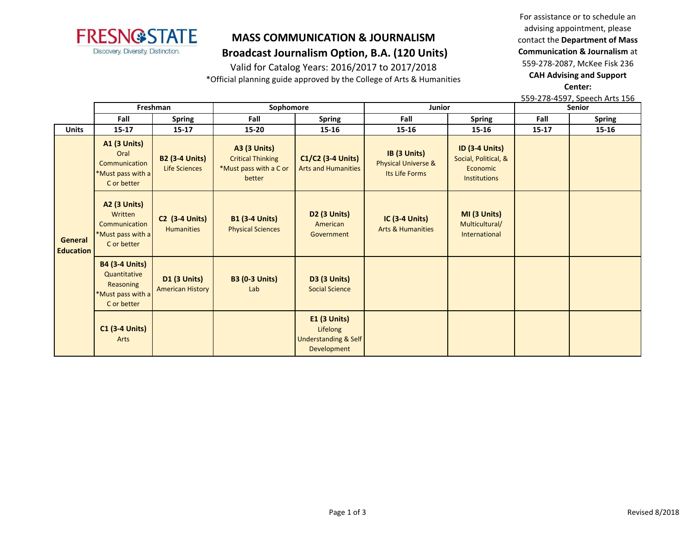

### **MASS COMMUNICATION & JOURNALISM Broadcast Journalism Option, B.A. (120 Units)**

Valid for Catalog Years: 2016/2017 to 2017/2018

\*Official planning guide approved by the College of Arts & Humanities

For assistance or to schedule an advising appointment, please contact the **Department of Mass Communication & Journalism** at 559-278-2087, McKee Fisk 236 **CAH Advising and Support Center:** 

559-278-4597, Speech Arts 156

|                                    | Freshman                                                                               |                                                | Sophomore                                                                           |                                                                                   | Junior                                                           |                                                                                  | Senior    |               |
|------------------------------------|----------------------------------------------------------------------------------------|------------------------------------------------|-------------------------------------------------------------------------------------|-----------------------------------------------------------------------------------|------------------------------------------------------------------|----------------------------------------------------------------------------------|-----------|---------------|
|                                    | Fall                                                                                   | <b>Spring</b>                                  | Fall                                                                                | <b>Spring</b>                                                                     | Fall                                                             | <b>Spring</b>                                                                    | Fall      | <b>Spring</b> |
| <b>Units</b>                       | $15 - 17$                                                                              | $15 - 17$                                      | $15 - 20$                                                                           | 15-16                                                                             | $15 - 16$                                                        | 15-16                                                                            | $15 - 17$ | 15-16         |
| <b>General</b><br><b>Education</b> | <b>A1 (3 Units)</b><br>Oral<br>Communication<br>*Must pass with a<br>C or better       | <b>B2 (3-4 Units)</b><br><b>Life Sciences</b>  | <b>A3 (3 Units)</b><br><b>Critical Thinking</b><br>*Must pass with a C or<br>better | C1/C2 (3-4 Units)<br><b>Arts and Humanities</b>                                   | IB (3 Units)<br><b>Physical Universe &amp;</b><br>Its Life Forms | <b>ID (3-4 Units)</b><br>Social, Political, &<br>Economic<br><b>Institutions</b> |           |               |
|                                    | <b>A2 (3 Units)</b><br>Written<br>Communication<br>*Must pass with a<br>C or better    | <b>C2 (3-4 Units)</b><br><b>Humanities</b>     | <b>B1 (3-4 Units)</b><br><b>Physical Sciences</b>                                   | <b>D2 (3 Units)</b><br>American<br>Government                                     | <b>IC (3-4 Units)</b><br><b>Arts &amp; Humanities</b>            | MI (3 Units)<br>Multicultural/<br>International                                  |           |               |
|                                    | <b>B4 (3-4 Units)</b><br>Quantitative<br>Reasoning<br>*Must pass with a<br>C or better | <b>D1 (3 Units)</b><br><b>American History</b> | <b>B3 (0-3 Units)</b><br>Lab                                                        | <b>D3 (3 Units)</b><br><b>Social Science</b>                                      |                                                                  |                                                                                  |           |               |
|                                    | <b>C1 (3-4 Units)</b><br>Arts                                                          |                                                |                                                                                     | <b>E1 (3 Units)</b><br>Lifelong<br><b>Understanding &amp; Self</b><br>Development |                                                                  |                                                                                  |           |               |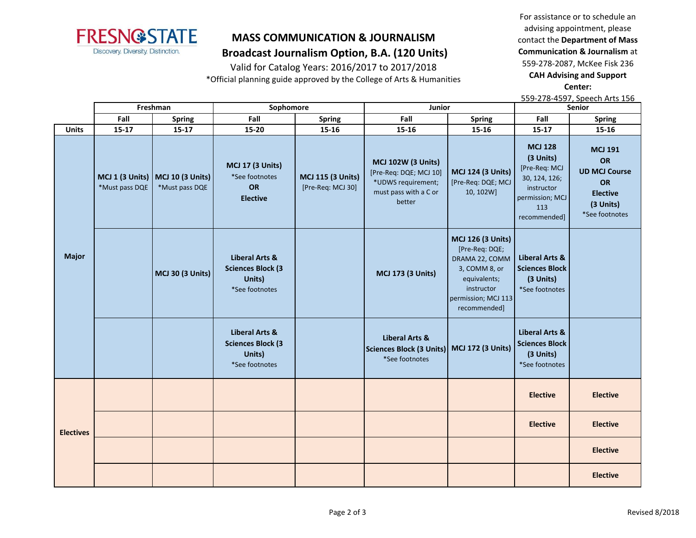

### **MASS COMMUNICATION & JOURNALISM Broadcast Journalism Option, B.A. (120 Units)**

Valid for Catalog Years: 2016/2017 to 2017/2018

\*Official planning guide approved by the College of Arts & Humanities

For assistance or to schedule an advising appointment, please contact the **Department of Mass Communication & Journalism** at 559-278-2087, McKee Fisk 236 **CAH Advising and Support Center:** 

559-278-4597, Speech Arts 156

|                  | Freshman                          |                                           | Sophomore                                                                          |                                               | Junior                                                                                                       |                                                                                                                                                    | Senior                                                                                                                |                                                                                                                    |
|------------------|-----------------------------------|-------------------------------------------|------------------------------------------------------------------------------------|-----------------------------------------------|--------------------------------------------------------------------------------------------------------------|----------------------------------------------------------------------------------------------------------------------------------------------------|-----------------------------------------------------------------------------------------------------------------------|--------------------------------------------------------------------------------------------------------------------|
|                  | Fall                              | <b>Spring</b>                             | Fall                                                                               | <b>Spring</b>                                 | Fall                                                                                                         | <b>Spring</b>                                                                                                                                      | Fall                                                                                                                  | <b>Spring</b>                                                                                                      |
| <b>Units</b>     | $15 - 17$                         | 15-17                                     | 15-20                                                                              | 15-16                                         | 15-16                                                                                                        | 15-16                                                                                                                                              | 15-17                                                                                                                 | 15-16                                                                                                              |
| <b>Major</b>     | MCJ 1 (3 Units)<br>*Must pass DQE | <b>MCJ 10 (3 Units)</b><br>*Must pass DQE | <b>MCJ 17 (3 Units)</b><br>*See footnotes<br>OR<br><b>Elective</b>                 | <b>MCJ 115 (3 Units)</b><br>[Pre-Req: MCJ 30] | <b>MCJ 102W (3 Units)</b><br>[Pre-Req: DQE; MCJ 10]<br>*UDWS requirement;<br>must pass with a C or<br>better | <b>MCJ 124 (3 Units)</b><br>[Pre-Req: DQE; MCJ<br>10, 102W]                                                                                        | <b>MCJ 128</b><br>(3 Units)<br>[Pre-Req: MCJ<br>30, 124, 126;<br>instructor<br>permission; MCJ<br>113<br>recommended] | <b>MCJ 191</b><br><b>OR</b><br><b>UD MCJ Course</b><br><b>OR</b><br><b>Elective</b><br>(3 Units)<br>*See footnotes |
|                  |                                   | <b>MCJ 30 (3 Units)</b>                   | <b>Liberal Arts &amp;</b><br><b>Sciences Block (3)</b><br>Units)<br>*See footnotes |                                               | <b>MCJ 173 (3 Units)</b>                                                                                     | <b>MCJ 126 (3 Units)</b><br>[Pre-Req: DQE;<br>DRAMA 22, COMM<br>3, COMM 8, or<br>equivalents;<br>instructor<br>permission; MCJ 113<br>recommended] | <b>Liberal Arts &amp;</b><br><b>Sciences Block</b><br>(3 Units)<br>*See footnotes                                     |                                                                                                                    |
|                  |                                   |                                           | <b>Liberal Arts &amp;</b><br><b>Sciences Block (3)</b><br>Units)<br>*See footnotes |                                               | <b>Liberal Arts &amp;</b><br>Sciences Block (3 Units) MCJ 172 (3 Units)<br>*See footnotes                    |                                                                                                                                                    | <b>Liberal Arts &amp;</b><br><b>Sciences Block</b><br>(3 Units)<br>*See footnotes                                     |                                                                                                                    |
|                  |                                   |                                           |                                                                                    |                                               |                                                                                                              |                                                                                                                                                    | <b>Elective</b>                                                                                                       | <b>Elective</b>                                                                                                    |
| <b>Electives</b> |                                   |                                           |                                                                                    |                                               |                                                                                                              |                                                                                                                                                    | <b>Elective</b>                                                                                                       | <b>Elective</b>                                                                                                    |
|                  |                                   |                                           |                                                                                    |                                               |                                                                                                              |                                                                                                                                                    |                                                                                                                       | <b>Elective</b>                                                                                                    |
|                  |                                   |                                           |                                                                                    |                                               |                                                                                                              |                                                                                                                                                    |                                                                                                                       | <b>Elective</b>                                                                                                    |